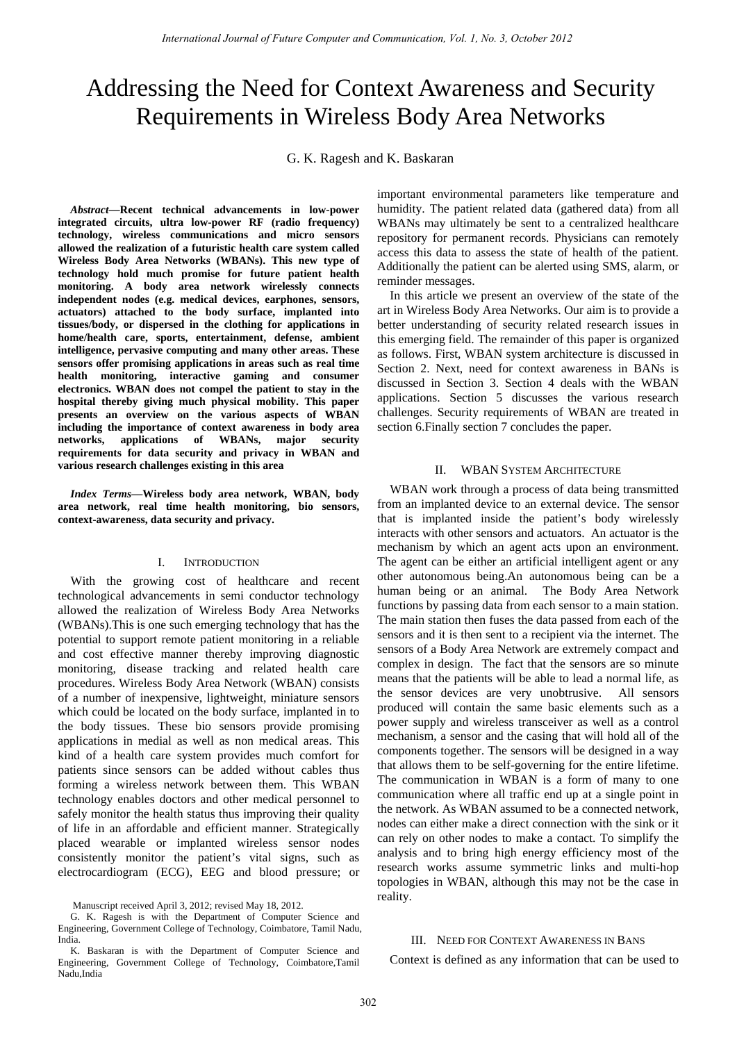# Addressing the Need for Context Awareness and Security Requirements in Wireless Body Area Networks

G. K. Ragesh and K. Baskaran

*Abstract***—Recent technical advancements in low-power integrated circuits, ultra low-power RF (radio frequency) technology, wireless communications and micro sensors allowed the realization of a futuristic health care system called Wireless Body Area Networks (WBANs). This new type of technology hold much promise for future patient health monitoring. A body area network wirelessly connects independent nodes (e.g. medical devices, earphones, sensors, actuators) attached to the body surface, implanted into tissues/body, or dispersed in the clothing for applications in home/health care, sports, entertainment, defense, ambient intelligence, pervasive computing and many other areas. These sensors offer promising applications in areas such as real time health monitoring, interactive gaming and consumer electronics. WBAN does not compel the patient to stay in the hospital thereby giving much physical mobility. This paper presents an overview on the various aspects of WBAN including the importance of context awareness in body area networks, applications of WBANs, major security requirements for data security and privacy in WBAN and various research challenges existing in this area** 

*Index Terms***—Wireless body area network, WBAN, body area network, real time health monitoring, bio sensors, context-awareness, data security and privacy.** 

## I. INTRODUCTION

With the growing cost of healthcare and recent technological advancements in semi conductor technology allowed the realization of Wireless Body Area Networks (WBANs).This is one such emerging technology that has the potential to support remote patient monitoring in a reliable and cost effective manner thereby improving diagnostic monitoring, disease tracking and related health care procedures. Wireless Body Area Network (WBAN) consists of a number of inexpensive, lightweight, miniature sensors which could be located on the body surface, implanted in to the body tissues. These bio sensors provide promising applications in medial as well as non medical areas. This kind of a health care system provides much comfort for patients since sensors can be added without cables thus forming a wireless network between them. This WBAN technology enables doctors and other medical personnel to safely monitor the health status thus improving their quality of life in an affordable and efficient manner. Strategically placed wearable or implanted wireless sensor nodes consistently monitor the patient's vital signs, such as electrocardiogram (ECG), EEG and blood pressure; or important environmental parameters like temperature and humidity. The patient related data (gathered data) from all WBANs may ultimately be sent to a centralized healthcare repository for permanent records. Physicians can remotely access this data to assess the state of health of the patient. Additionally the patient can be alerted using SMS, alarm, or reminder messages.

In this article we present an overview of the state of the art in Wireless Body Area Networks. Our aim is to provide a better understanding of security related research issues in this emerging field. The remainder of this paper is organized as follows. First, WBAN system architecture is discussed in Section 2. Next, need for context awareness in BANs is discussed in Section 3. Section 4 deals with the WBAN applications. Section 5 discusses the various research challenges. Security requirements of WBAN are treated in section 6.Finally section 7 concludes the paper.

# II. WBAN SYSTEM ARCHITECTURE

WBAN work through a process of data being transmitted from an implanted device to an external device. The sensor that is implanted inside the patient's body wirelessly interacts with other sensors and actuators. An actuator is the mechanism by which an agent acts upon an environment. The agent can be either an artificial intelligent agent or any other autonomous being.An autonomous being can be a human being or an animal. The Body Area Network functions by passing data from each sensor to a main station. The main station then fuses the data passed from each of the sensors and it is then sent to a recipient via the internet. The sensors of a Body Area Network are extremely compact and complex in design. The fact that the sensors are so minute means that the patients will be able to lead a normal life, as the sensor devices are very unobtrusive. All sensors produced will contain the same basic elements such as a power supply and wireless transceiver as well as a control mechanism, a sensor and the casing that will hold all of the components together. The sensors will be designed in a way that allows them to be self-governing for the entire lifetime. The communication in WBAN is a form of many to one communication where all traffic end up at a single point in the network. As WBAN assumed to be a connected network, nodes can either make a direct connection with the sink or it can rely on other nodes to make a contact. To simplify the analysis and to bring high energy efficiency most of the research works assume symmetric links and multi-hop topologies in WBAN, although this may not be the case in reality.

#### III. NEED FOR CONTEXT AWARENESS IN BANS

Context is defined as any information that can be used to

Manuscript received April 3, 2012; revised May 18, 2012.

G. K. Ragesh is with the Department of Computer Science and Engineering, Government College of Technology, Coimbatore, Tamil Nadu, India.

K. Baskaran is with the Department of Computer Science and Engineering, Government College of Technology, Coimbatore,Tamil Nadu,India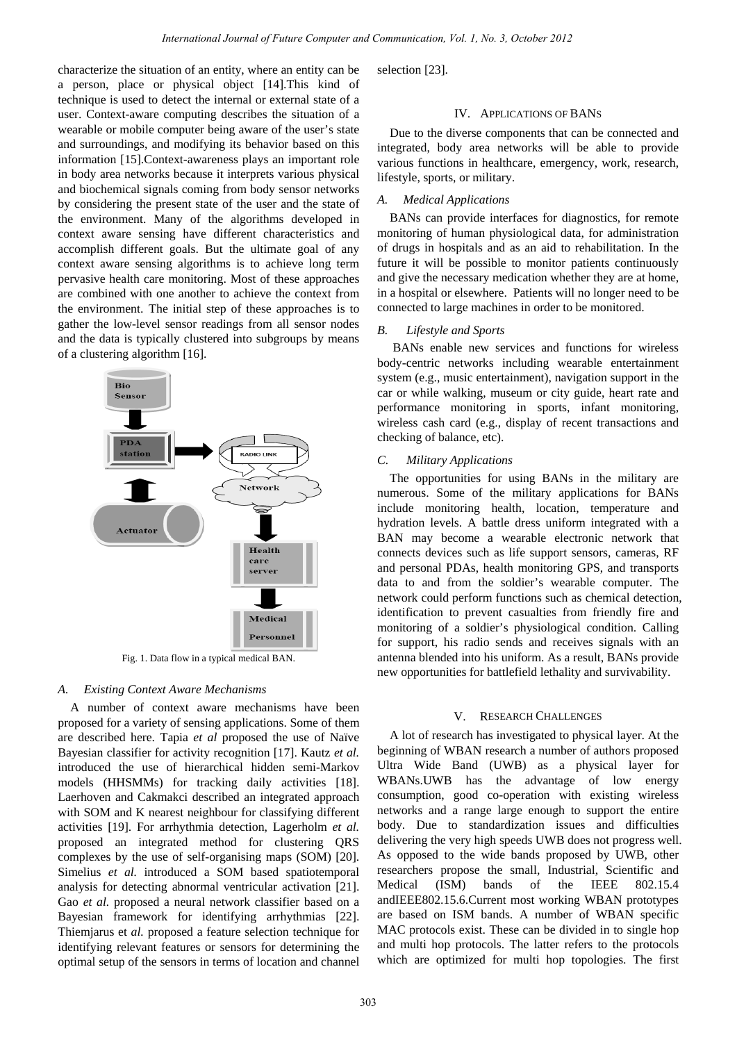characterize the situation of an entity, where an entity can be a person, place or physical object [14].This kind of technique is used to detect the internal or external state of a user. Context-aware computing describes the situation of a wearable or mobile computer being aware of the user's state and surroundings, and modifying its behavior based on this information [15].Context-awareness plays an important role in body area networks because it interprets various physical and biochemical signals coming from body sensor networks by considering the present state of the user and the state of the environment. Many of the algorithms developed in context aware sensing have different characteristics and accomplish different goals. But the ultimate goal of any context aware sensing algorithms is to achieve long term pervasive health care monitoring. Most of these approaches are combined with one another to achieve the context from the environment. The initial step of these approaches is to gather the low-level sensor readings from all sensor nodes and the data is typically clustered into subgroups by means of a clustering algorithm [16].



Fig. 1. Data flow in a typical medical BAN.

# *A. Existing Context Aware Mechanisms*

A number of context aware mechanisms have been proposed for a variety of sensing applications. Some of them are described here. Tapia *et al* proposed the use of Naïve Bayesian classifier for activity recognition [17]. Kautz *et al.*  introduced the use of hierarchical hidden semi-Markov models (HHSMMs) for tracking daily activities [18]. Laerhoven and Cakmakci described an integrated approach with SOM and K nearest neighbour for classifying different activities [19]. For arrhythmia detection, Lagerholm *et al.*  proposed an integrated method for clustering QRS complexes by the use of self-organising maps (SOM) [20]. Simelius *et al.* introduced a SOM based spatiotemporal analysis for detecting abnormal ventricular activation [21]. Gao *et al.* proposed a neural network classifier based on a Bayesian framework for identifying arrhythmias [22]. Thiemjarus et *al.* proposed a feature selection technique for identifying relevant features or sensors for determining the optimal setup of the sensors in terms of location and channel selection [23].

## IV. APPLICATIONS OF BANS

Due to the diverse components that can be connected and integrated, body area networks will be able to provide various functions in healthcare, emergency, work, research, lifestyle, sports, or military.

## *A. Medical Applications*

BANs can provide interfaces for diagnostics, for remote monitoring of human physiological data, for administration of drugs in hospitals and as an aid to rehabilitation. In the future it will be possible to monitor patients continuously and give the necessary medication whether they are at home, in a hospital or elsewhere. Patients will no longer need to be connected to large machines in order to be monitored.

# *B. Lifestyle and Sports*

 BANs enable new services and functions for wireless body-centric networks including wearable entertainment system (e.g., music entertainment), navigation support in the car or while walking, museum or city guide, heart rate and performance monitoring in sports, infant monitoring, wireless cash card (e.g., display of recent transactions and checking of balance, etc).

## *C. Military Applications*

The opportunities for using BANs in the military are numerous. Some of the military applications for BANs include monitoring health, location, temperature and hydration levels. A battle dress uniform integrated with a BAN may become a wearable electronic network that connects devices such as life support sensors, cameras, RF and personal PDAs, health monitoring GPS, and transports data to and from the soldier's wearable computer. The network could perform functions such as chemical detection, identification to prevent casualties from friendly fire and monitoring of a soldier's physiological condition. Calling for support, his radio sends and receives signals with an antenna blended into his uniform. As a result, BANs provide new opportunities for battlefield lethality and survivability.

## V. RESEARCH CHALLENGES

A lot of research has investigated to physical layer. At the beginning of WBAN research a number of authors proposed Ultra Wide Band (UWB) as a physical layer for WBANs.UWB has the advantage of low energy consumption, good co-operation with existing wireless networks and a range large enough to support the entire body. Due to standardization issues and difficulties delivering the very high speeds UWB does not progress well. As opposed to the wide bands proposed by UWB, other researchers propose the small, Industrial, Scientific and Medical (ISM) bands of the IEEE 802.15.4 andIEEE802.15.6.Current most working WBAN prototypes are based on ISM bands. A number of WBAN specific MAC protocols exist. These can be divided in to single hop and multi hop protocols. The latter refers to the protocols which are optimized for multi hop topologies. The first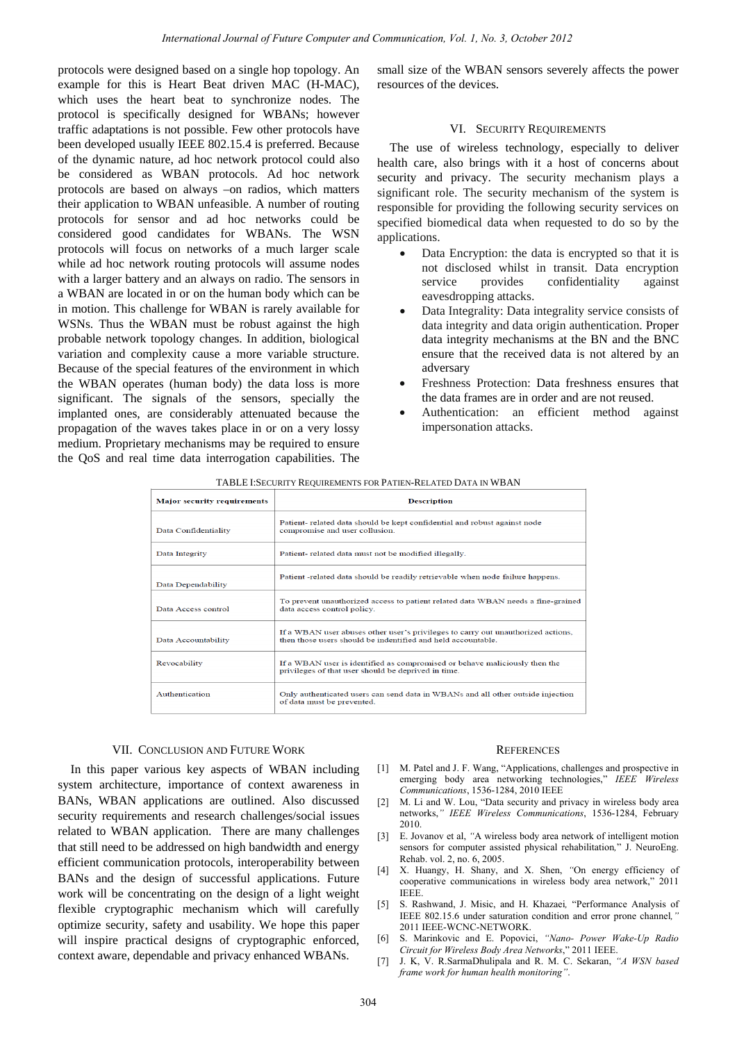protocols were designed based on a single hop topology. An example for this is Heart Beat driven MAC (H-MAC), which uses the heart beat to synchronize nodes. The protocol is specifically designed for WBANs; however traffic adaptations is not possible. Few other protocols have been developed usually IEEE 802.15.4 is preferred. Because of the dynamic nature, ad hoc network protocol could also be considered as WBAN protocols. Ad hoc network protocols are based on always –on radios, which matters their application to WBAN unfeasible. A number of routing protocols for sensor and ad hoc networks could be considered good candidates for WBANs. The WSN protocols will focus on networks of a much larger scale while ad hoc network routing protocols will assume nodes with a larger battery and an always on radio. The sensors in a WBAN are located in or on the human body which can be in motion. This challenge for WBAN is rarely available for WSNs. Thus the WBAN must be robust against the high probable network topology changes. In addition, biological variation and complexity cause a more variable structure. Because of the special features of the environment in which the WBAN operates (human body) the data loss is more significant. The signals of the sensors, specially the implanted ones, are considerably attenuated because the propagation of the waves takes place in or on a very lossy medium. Proprietary mechanisms may be required to ensure the QoS and real time data interrogation capabilities. The

small size of the WBAN sensors severely affects the power resources of the devices.

## VI. SECURITY REQUIREMENTS

The use of wireless technology, especially to deliver health care, also brings with it a host of concerns about security and privacy. The security mechanism plays a significant role. The security mechanism of the system is responsible for providing the following security services on specified biomedical data when requested to do so by the applications.

- Data Encryption: the data is encrypted so that it is not disclosed whilst in transit. Data encryption service provides confidentiality against eavesdropping attacks.
- Data Integrality: Data integrality service consists of data integrity and data origin authentication. Proper data integrity mechanisms at the BN and the BNC ensure that the received data is not altered by an adversary
- Freshness Protection: Data freshness ensures that the data frames are in order and are not reused.
- Authentication: an efficient method against impersonation attacks.

| TABLE I: SECURITY REQUIREMENTS FOR PATIEN-RELATED DATA IN WBAN |  |
|----------------------------------------------------------------|--|
|                                                                |  |

| <b>Major security requirements</b> | <b>Description</b>                                                                                                                               |
|------------------------------------|--------------------------------------------------------------------------------------------------------------------------------------------------|
| Data Confidentiality               | Patient-related data should be kept confidential and robust against node<br>compromise and user collusion.                                       |
| Data Integrity                     | Patient-related data must not be modified illegally.                                                                                             |
| Data Dependability                 | Patient -related data should be readily retrievable when node failure happens.                                                                   |
| Data Access control                | To prevent unauthorized access to patient related data WBAN needs a fine-grained<br>data access control policy.                                  |
| Data Accountability                | If a WBAN user abuses other user's privileges to carry out unauthorized actions,<br>then those users should be indentified and held accountable. |
| Revocability                       | If a WBAN user is identified as compromised or behave maliciously then the<br>privileges of that user should be deprived in time.                |
| Authentication                     | Only authenticated users can send data in WBANs and all other outside injection<br>of data must be prevented.                                    |

## VII. CONCLUSION AND FUTURE WORK

In this paper various key aspects of WBAN including system architecture, importance of context awareness in BANs, WBAN applications are outlined. Also discussed security requirements and research challenges/social issues related to WBAN application. There are many challenges that still need to be addressed on high bandwidth and energy efficient communication protocols, interoperability between BANs and the design of successful applications. Future work will be concentrating on the design of a light weight flexible cryptographic mechanism which will carefully optimize security, safety and usability. We hope this paper will inspire practical designs of cryptographic enforced, context aware, dependable and privacy enhanced WBANs.

#### **REFERENCES**

- [1] M. Patel and J. F. Wang, "Applications, challenges and prospective in emerging body area networking technologies," *IEEE Wireless Communications*, 1536-1284, 2010 IEEE
- [2] M. Li and W. Lou, "Data security and privacy in wireless body area networks,*" IEEE Wireless Communications*, 1536-1284, February 2010.
- [3] E. Jovanov et al, *"*A wireless body area network of intelligent motion sensors for computer assisted physical rehabilitation*,*" J. NeuroEng. Rehab. vol. 2, no. 6, 2005.
- [4] X. Huangy, H. Shany, and X. Shen, *"*On energy efficiency of cooperative communications in wireless body area network," 2011 IEEE.
- [5] S. Rashwand, J. Misic, and H. Khazaei*,* "Performance Analysis of IEEE 802.15.6 under saturation condition and error prone channel*,"* 2011 IEEE-WCNC-NETWORK.
- [6] S. Marinkovic and E. Popovici, *"Nano- Power Wake-Up Radio Circuit for Wireless Body Area Networks*," 2011 IEEE.
- [7] J. K, V. R.SarmaDhulipala and R. M. C. Sekaran, *"A WSN based frame work for human health monitoring"*.